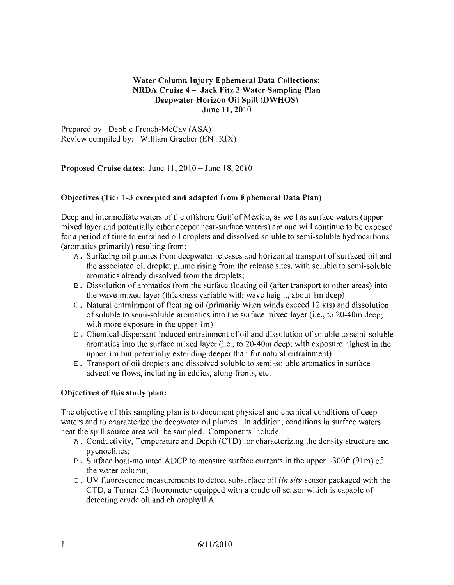## Water Column Injury Ephemeral Data Collections: NRDA Cruise 4 - Jack Fitz 3 Water Sampling Plan Deepwater Horizon Oil Spill (DWHOS) June 11,2010

Prepared by: Debbie French-McCay (ASA) Review compiled by: William Graeber (ENTRIX)

#### Proposed Cruise dates: June  $11,2010 -$  June 18, 2010

#### Objectives (Tier 1-3 excerpted and adapted from Ephemeral Data Plan)

Deep and intermediate waters of the offshore Gulf of Mexico, as well as surface waters (upper mixed layer and potentially other deeper near-surface waters) are and will continue to be exposed for a period of time to entrained oil droplets and dissolved soluble to semi-soluble hydrocarbons (aromatics primarily) resulting from:

- A. Surfacing oil plumes from deepwater releases and horizontal transport of surfaced oil and the associated oil droplet plume rising from the release sites, with soluble to semi-soluble aromatics already dissolved from the droplets;
- B. Dissolution of aromatics from the surface floating oil (after transport to other areas) into the wave-mixed layer (thickness variable with wave height, about 1m deep)
- C. Natural entrainment of floating oil (primarily when winds exceed 12 kts) and dissolution of soluble to semi-soluble aromatics into the surface mixed layer (i.e., to 20-40m deep; with more exposure in the upper 1m)
- D. Chemical dispersant-induced entrainment of oil and dissolution of soluble to semi-soluble aromatics into the surface mixed layer (i.e., to 20-40m deep; with exposure highest in the upper 1m but potentially extending deeper than for natural entrainment)
- E. Transport of oil droplets and dissolved soluble to semi-soluble aromatics in surface advective flows, including in eddies, along fronts, etc.

#### Objectives of this study plan:

The objective of this sampling plan is to document physical and chemical conditions of deep waters and to characterize the deepwater oil plumes. In addition, conditions in surface waters near the spill source area will be sampled. Components include:

- A. Conductivity, Temperature and Depth (CTD) for characterizing the density structure and pycnoclines;
- B. Surface boat-mounted ADCP to measure surface currents in the upper ~300ft (91m) of the water column;
- C. UV fluorescence measurements to detect subsurface oil *(in situ* sensor packaged with the CTD, a Turner C3 fluorometer equipped with a crude oil sensor which is capable of detecting crude oil and chlorophyll A.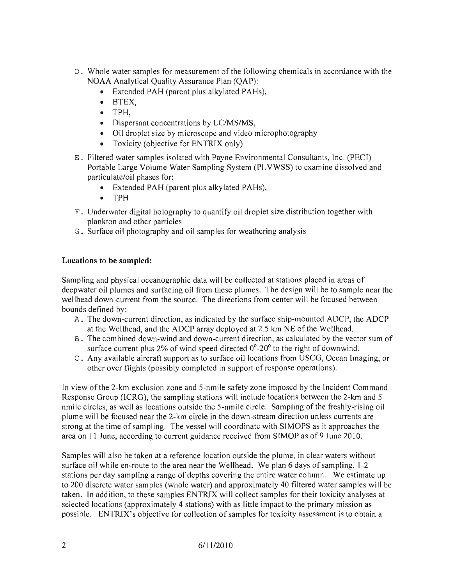- D. Whole water samples for measurement of the following chemicals in accordance with the NOAA Analytical Quality Assurance Plan (QAP):
	- Extended PAH (parent plus alkylated PAHs),
	- BTEX,
	- TPH,
	- Dispersant concentrations by LC/MS/MS,
	- Oil droplet size by microscope and video microphotography
	- Toxicity (objective for ENTRIX only)
- E. Filtered water samples isolated with Payne Environmental Consultants, Inc. (PEel) Portable Large Volume Water Sampling System (PLVWSS) to examine dissolved and particulate/oil phases for:
	- Extended PAH (parent plus alkylated PAHs),
	- TPH
- F. Underwater digital holography to quantifY oil droplet size distribution together with plankton and other particles
- G. Surface oil photography and oil samples for weathering analysis

# **Locations to be sampled:**

Sampling and physical oceanographic data will be collected at stations placed in areas of deepwater oil plumes and surfacing oil from these plumes. The design will be to sample near the wellhead down-current from the source. The directions from center will be focused between bounds defined by:

- A. The down-current direction, as indicated by the surface ship-mounted ADCP, the ADCP at the Wellhead, and the ADCP array deployed at 2.5 km NE of the Wellhead.
- B. The combined down-wind and down-current direction, as calculated by the vector sum of surface current plus 2% of wind speed directed  $0^{\circ}$ -20<sup> $\circ$ </sup> to the right of downwind.
- C. Any available aircraft support as to surface oil locations from USCG, Ocean Imaging, or other over flights (possibly completed in support of response operations).

In view of the 2-km exclusion zone and 5-nmile safety zone imposed by the Incident Command Response Group (lCRG), the sampling stations will include locations between the 2-km and 5 nmile circles, as well as locations outside the 5-nmile circle. Sampling of the freshly-rising oil plume will be focused near the 2-km circle in the down-stream direction unless currents are strong at the time of sampling. The vessel will coordinate with SIMOPS as it approaches the area on 11 June, according to current guidance received from SIMOP as of9 June 2010.

Samples will also be taken at a reference location outside the plume, in clear waters without surface oil while en-route to the area near the Wellhead. We plan 6 days of sampling, 1-2 stations per day sampling a range of depths covering the entire water column. We estimate up to 200 discrete water samples (whole water) and approximately 40 filtered water samples will be taken. In addition, to these samples ENTRIX will collect samples for their toxicity analyses at selected locations (approximately 4 stations) with as little impact to the primary mission as possible. ENTRIX's objective for collection of samples for toxicity assessment is to obtain a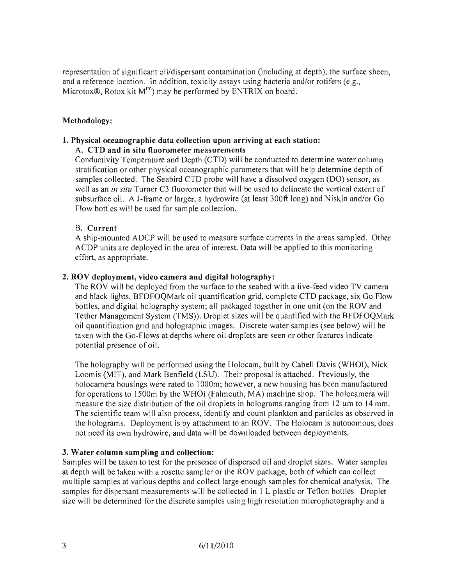representation of significant oil/dispersant contamination (including at depth), the surface sheen, and a reference location. In addition, toxicity assays using bacteria and/or rotifers (e.g., Microtox®, Rotox kit  $M^{(m)}$  may be performed by ENTRIX on board.

# Methodology:

#### 1. Physical oceanographic data collection upon arriving at each station: A. CTD and in situ fluorometer measurements

Conductivity Temperature and Depth (CTD) will be conducted to determine water column stratification or other physical oceanographic parameters that will help determine depth of samples collected. The Seabird CTD probe will have a dissolved oxygen (DO) sensor, as well as an *in situ* Turner C3 fluorometer that will be used to delineate the vertical extent of subsurface oil. A J-frame or larger, a hydrowire (at least 300ft long) and Niskin and/or Go Flow bottles will be used for sample collection.

## B. Current

A ship-mounted ADCP will be used to measure surface currents in the areas sampled. Other ACDP units are deployed in the area of interest. Data will be applied to this monitoring effort, as appropriate.

# 2. ROV deployment, video camera and digital holography:

The ROV will be deployed from the surface to the seabed with a live-feed video TV camera and black lights, BFDFOQMark oil quantification grid, complete CTD package, six Go Flow bottles, and digital holography system; all packaged together in one unit (on the ROV and Tether Management System (TMS)). Droplet sizes will be quantified with the BFDFOQMark oil quantification grid and holographic images. Discrete water samples (see below) will be taken with the Go-Flows at depths where oil droplets are seen or other features indicate potential presence of oil.

The holography will be performed using the Holocam, built by Cabell Davis (WHO!), Nick Loomis (MIT), and Mark Benfield (LSU). Their proposal is attached. Previously, the holocamera housings were rated to 1000m; however, a new housing has been manufactured for operations to 1500m by the WHOI (Falmouth, MA) machine shop. The holocamera will measure the size distribution of the oil droplets in holograms ranging from  $12 \mu m$  to  $14 \text{ mm}$ . The scientific team will also process, identify and count plankton and particles as observed in the holograms. Deployment is by attachment to an ROV. The Holocam is autonomous, does not need its own hydrowire, and data will be downloaded between deployments.

## 3. Water column sampling and collection:

Samples will be taken to test for the presence of dispersed oil and droplet sizes. Water samples at depth will be taken with a rosette sampler or the ROV package, both of which can collect multiple samples at various depths and collect large enough samples for chemical analysis. The samples for dispersant measurements will be collected in 1 L plastic or Teflon bottles. Droplet size will be determined for the discrete samples using high resolution microphotography and a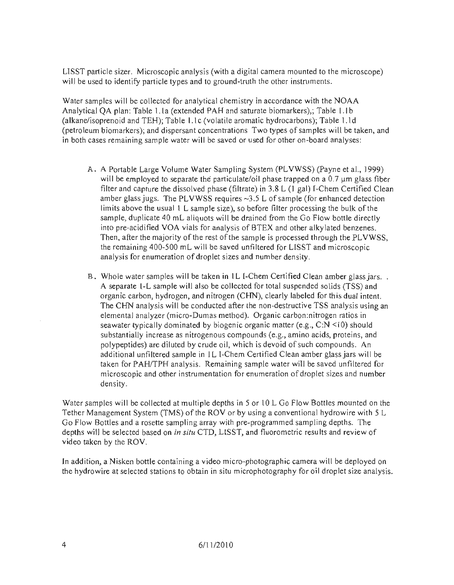LISST particle sizer. Microscopic analysis (with a digital camera mounted to the microscope) will be used to identify particle types and to ground-truth the other instruments.

Water samples will be collected for analytical chemistry in accordance with the NOAA Analytical QA plan: Table 1.la (extended PAH and saturate biomarkers),; Table l.lb (alkane/isoprenoid and TEH); Table l.Ic (volatile aromatic hydrocarbons); Table l.ld (petroleum biomarkers); and dispersant concentrations Two types of samples will be taken, and in both cases remaining sample water will be saved or used for other on-board analyses:

- A. A Portable Large Volume Water Sampling System (PL VWSS) (Payne et ai., 1999) will be employed to separate the particulate/oil phase trapped on a  $0.7 \mu m$  glass fiber filter and capture the dissolved phase (filtrate) in 3.8 L (1 gal) I-Chem Certified Clean amber glass jugs. The PLVWSS requires  $\sim$ 3.5 L of sample (for enhanced detection limits above the usual I L sample size), so before filter processing the bulk of the sample, duplicate 40 mL aliquots will be drained from the Go Flow bottle directly into pre-acidified VOA vials for analysis of BTEX and other alkylated benzenes. Then, after the majority of the rest of the sample is processed through the PLVWSS, the remaining 400-500 mL will be saved unfiltered for LISST and microscopic analysis for enumeration of droplet sizes and number density.
- B. Whole water samples will be taken in IL I-Chem Certified Clean amber glass jars.. A separate I-L sample will also be collected for total suspended solids (TSS) and organic carbon, hydrogen, and nitrogen (CHN), clearly labeled for this dual intent. The CHN analysis will be conducted after the non-destructive TSS analysis using an elemental analyzer (micro-Dumas method). Organic carbon:nitrogen ratios in seawater typically dominated by biogenic organic matter (e.g., C:N <10) should substantially increase as nitrogenous compounds (e.g., amino acids, proteins, and polypeptides) are diluted by crude oil, which is devoid of such compounds. An additional unfiltered sample in lL I-Chern Certified Clean amber glass jars will be taken for PAH/TPH analysis. Remaining sample water will be saved unfiltered for microscopic and other instrumentation for enumeration of droplet sizes and number density.

Water samples will be collected at multiple depths in 5 or 10 L Go Flow Bottles mounted on the Tether Management System (TMS) of the ROV or by using a conventional hydrowire with 5 L Go Flow Bottles and a rosette sampling array with pre-programmed sampling depths. The depths will be selected based on *in situ* CTD, LISST, and fluorometric results and review of video taken by the ROV.

In addition, a Nisken bottle containing a video micro-photographic camera will be deployed on the hydrowire at selected stations to obtain in situ microphotography for oil droplet size analysis.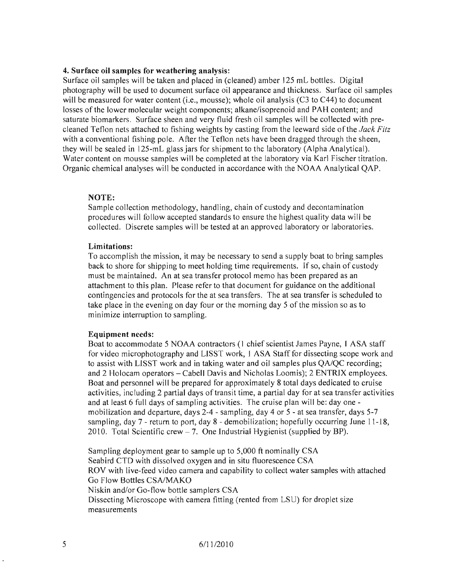#### 4. Surface oil samples for weathering analysis:

Surface oil samples will be taken and placed in (cleaned) amber 125 mL bottles. Digital photography will be used to document surface oil appearance and thickness. Surface oil samples will be measured for water content (i.e., mousse); whole oil analysis (C3 to C44) to document losses of the lower molecular weight components; alkane/isoprenoid and PAH content; and saturate biomarkers. Surface sheen and very fluid fresh oil samples will be collected with precleaned Teflon nets attached to fishing weights by casting from the leeward side of the *.lack Fitz*  with a conventional fishing pole. After the Teflon nets have been dragged through the sheen, they will be sealed in l25-mL glass jars for shipment to the laboratory (Alpha Analytical). Water content on mousse samples will be completed at the laboratory via Karl Fischer titration. Organic chemical analyses will be conducted in accordance with the NOAA Analytical QAP.

#### NOTE:

Sample collection methodology, handling, chain of custody and decontamination procedures will follow accepted standards to ensure the highest quality data will be collected. Discrete samples will be tested at an approved laboratory or laboratories.

#### Limitations:

To accomplish the mission, it may be necessary to send a supply boat to bring samples back to shore for shipping to meet holding time requirements. If so, chain of custody must be maintained. An at sea transfer protocol memo has been prepared as an attachment to this plan. Please refer to that document for guidance on the additional contingencies and protocols for the at sea transfers. The at sea transfer is scheduled to take place in the evening on day four or the morning day 5 of the mission so as to minimize interruption to sampling.

## Equipment needs:

Boat to accommodate 5 NOAA contractors (1 chief scientist James Payne, I ASA staff for video microphotography and LISST work, 1 ASA Staff for dissecting scope work and to assist with LISST work and in taking water and oil samples plus QA/QC recording; and 2 Holocam operators – Cabell Davis and Nicholas Loomis); 2 ENTRIX employees. Boat and personnel will be prepared for approximately 8 total days dedicated to cruise activities, including 2 partial days of transit time, a partial day for at sea transfer activities and at least 6 full days of sampling activities. The cruise plan will be: day one mobilization and departure, days 2-4 - sampling, day 4 or 5 - at sea transfer, days 5-7 sampling, day 7 - return to port, day 8 - demobilization; hopefully occurring June 11-18, 2010. Total Scientific crew  $-7$ . One Industrial Hygienist (supplied by BP).

Sampling deployment gear to sample up to 5,000 ft nominally CSA Seabird CTD with dissolved oxygen and in situ fluorescence CSA ROV with live-feed video camera and capability to collect water samples with attached Go Flow Bottles CSA/MAKO Niskin and/or Go-flow bottle samplers CSA Dissecting Microscope with camera fitting (rented from LSU) for droplet size measurements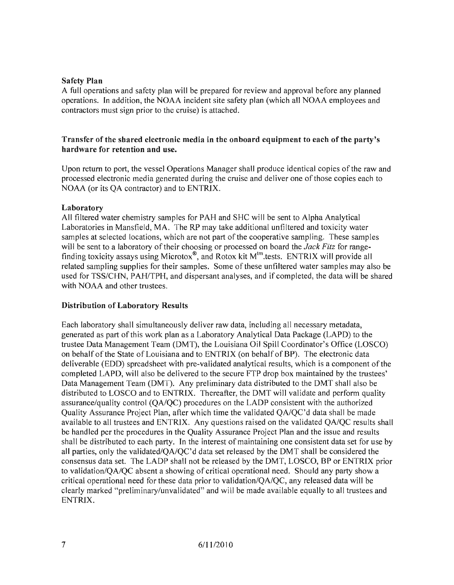### Safety Plan

A full operations and safety plan will be prepared for review and approval before any planned operations. In addition, the NOAA incident site safety plan (which all NOAA employees and contractors must sign prior to the cruise) is attached.

### Transfer of the shared electronic media in the onboard equipment to each of the party's hardware for retention and use.

Upon return to port, the vessel Operations Manager shall produce identical copies of the raw and processed electronic media generated during the cruise and deliver one of those copies each to NOAA (or its QA contractor) and to ENTRIX.

#### Laboratory

All filtered water chemistry samples for PAH and SHC will be sent to Alpha Analytical Laboratories in Mansfield, MA. The RP may take additional unfiltered and toxicity water samples at selected locations, which are not part of the cooperative sampling. These samples will be sent to a laboratory of their choosing or processed on board the *Jack Fitz* for rangefinding toxicity assays using Microtox®, and Rotox kit  $M<sup>tm</sup>$  tests. ENTRIX will provide all related sampling supplies for their samples. Some of these unfiltered water samples may also be used for TSS/CHN, PAH/TPH, and dispersant analyses, and if completed, the data will be shared with NOAA and other trustees.

#### Distribution of Laboratory Results

Each laboratory shall simultaneously deliver raw data, including all necessary metadata, generated as part of this work plan as a Laboratory Analytical Data Package (LAPD) to the trustee Data Management Team (DMT), the Louisiana Oil Spill Coordinator's Office (LOSCO) on behalf of the State of Louisiana and to ENTRIX (on behalf of BP). The electronic data deliverable (EDD) spreadsheet with pre-validated analytical results, which is a component of the completed LAPD, will also be delivered to the secure FTP drop box maintained by the trustees' Data Management Team (DMT). Any preliminary data distributed to the DMT shall also be distributed to LOSCO and to ENTRIX. Thereafter, the DMT will validate and perform quality assurance/quality control *(QA/QC)* procedures on the LADP consistent with the authorized Quality Assurance Project Plan, after which time the validated *QA/QC'd* data shall be made available to all trustees and ENTRIX. Any questions raised on the validated *QAlQC* results shall be handled per the procedures in the Quality Assurance Project Plan and the issue and results shall be distributed to each party. In the interest of maintaining one consistent data set for use by all parties, only the validated/QAIQC'd data set released by the DMT shall be considered the consensus data set. The LADP shall not be released by the DMT, LOSCO, BP or ENTRIX prior to validation/QA/QC absent a showing of critical operational need. Should any party show a critical operational need for these data prior to validation/QA/QC, any released data will be clearly marked "preliminary/unvalidated" and will be made available equally to all trustees and ENTRIX.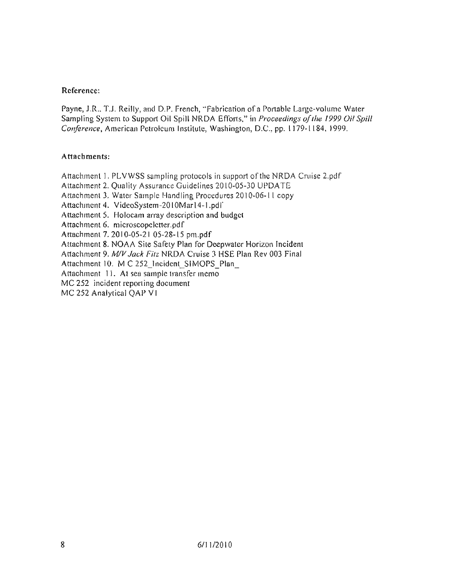### Reference:

Payne, J.R., T.J. Reilly, and D.P. French, "Fabrication of a Portable Large-volume Water Sampling System to Support Oil Spill NRDA Efforts," in Proceedings of the 1999 Oil Spill Conference, American Petroleum Institute, Washington, D.C., pp. 1179-1184, 1999.

#### Attachments:

Attachment 1. PLVWSS sampling protocols in support of the NRDA Cruise 2.pdf Attachment 2. Quality Assurance Guidelines 2010-05-30 UPDATE

Attachment 3. Water Sample Handling Procedures 2010-06-11 copy

Attachment 4. VideoSystem-2010Mar14-1.pdf

Attachment 5. Holocam array description and budget

Attachment 6. microscopeletter.pdf

Attachment 7. 2010-05-21 05-28-15 pm.pdf

Attachment 8. NOAA Site Safety Plan for Deepwater Horizon Incident

Attachment 9. M/V Jack Fitz NRDA Cruise 3 HSE Plan Rev 003 Final

Attachment 10. M C 252\_Incident SIMOPS Plan

Attachment 11. At sea sample transfer memo

MC 252 incident reporting document

MC 252 Analytical QAP VI